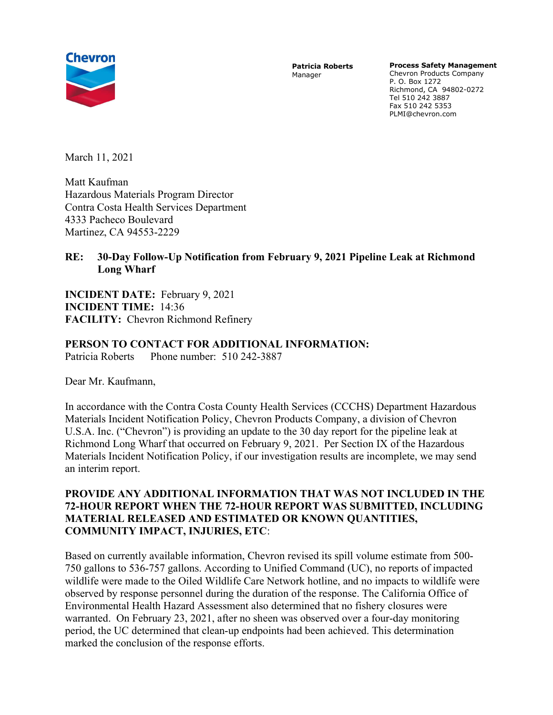

Patricia Roberts Manager

Process Safety Management

Chevron Products Company P. O. Box 1272 Richmond, CA 94802-0272 Tel 510 242 3887 Fax 510 242 5353 PLMI@chevron.com

March 11, 2021

Matt Kaufman Hazardous Materials Program Director Contra Costa Health Services Department 4333 Pacheco Boulevard Martinez, CA 94553-2229

## RE: 30-Day Follow-Up Notification from February 9, 2021 Pipeline Leak at Richmond Long Wharf

INCIDENT DATE: February 9, 2021 INCIDENT TIME: 14:36 FACILITY: Chevron Richmond Refinery

## PERSON TO CONTACT FOR ADDITIONAL INFORMATION:

Patricia Roberts Phone number: 510 242-3887

Dear Mr. Kaufmann,

In accordance with the Contra Costa County Health Services (CCCHS) Department Hazardous Materials Incident Notification Policy, Chevron Products Company, a division of Chevron U.S.A. Inc. ("Chevron") is providing an update to the 30 day report for the pipeline leak at Richmond Long Wharf that occurred on February 9, 2021. Per Section IX of the Hazardous Materials Incident Notification Policy, if our investigation results are incomplete, we may send an interim report.

## PROVIDE ANY ADDITIONAL INFORMATION THAT WAS NOT INCLUDED IN THE 72-HOUR REPORT WHEN THE 72-HOUR REPORT WAS SUBMITTED, INCLUDING MATERIAL RELEASED AND ESTIMATED OR KNOWN QUANTITIES, COMMUNITY IMPACT, INJURIES, ETC:

Based on currently available information, Chevron revised its spill volume estimate from 500- 750 gallons to 536-757 gallons. According to Unified Command (UC), no reports of impacted wildlife were made to the Oiled Wildlife Care Network hotline, and no impacts to wildlife were observed by response personnel during the duration of the response. The California Office of Environmental Health Hazard Assessment also determined that no fishery closures were warranted. On February 23, 2021, after no sheen was observed over a four-day monitoring period, the UC determined that clean-up endpoints had been achieved. This determination marked the conclusion of the response efforts.